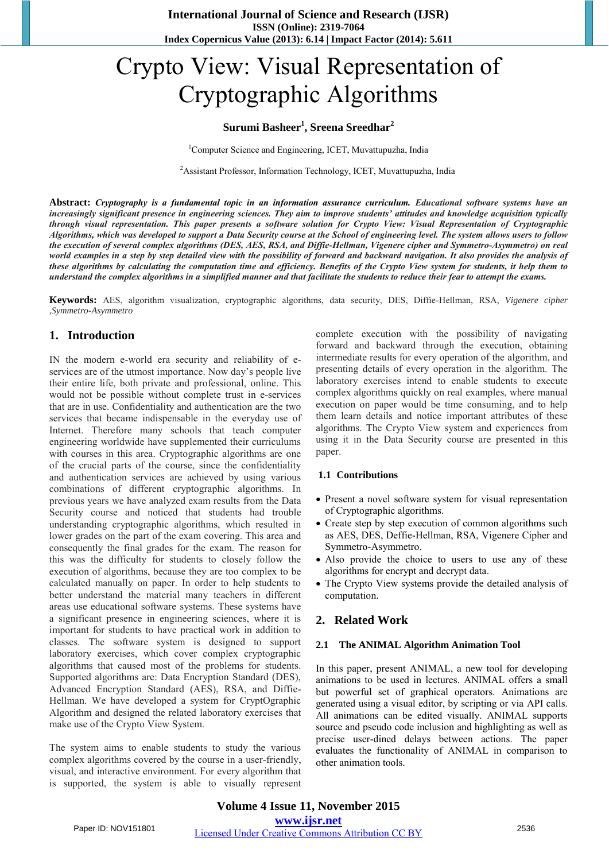# Crypto View: Visual Representation of Cryptographic Algorithms

### **Surumi Basheer<sup>1</sup> , Sreena Sreedhar<sup>2</sup>**

<sup>1</sup>Computer Science and Engineering, ICET, Muvattupuzha, India

<sup>2</sup> Assistant Professor, Information Technology, ICET, Muvattupuzha, India

**Abstract:** *Cryptography is a fundamental topic in an information assurance curriculum. Educational software systems have an increasingly significant presence in engineering sciences. They aim to improve students' attitudes and knowledge acquisition typically through visual representation. This paper presents a software solution for Crypto View: Visual Representation of Cryptographic Algorithms, which was developed to support a Data Security course at the School of engineering level. The system allows users to follow the execution of several complex algorithms (DES, AES, RSA, and Diffie-Hellman, Vigenere cipher and Symmetro-Asymmetro) on real world examples in a step by step detailed view with the possibility of forward and backward navigation. It also provides the analysis of these algorithms by calculating the computation time and efficiency. Benefits of the Crypto View system for students, it help them to understand the complex algorithms in a simplified manner and that facilitate the students to reduce their fear to attempt the exams.*

**Keywords:** AES, algorithm visualization, cryptographic algorithms, data security, DES, Diffie-Hellman, RSA, *Vigenere cipher ,Symmetro-Asymmetro*

#### **1. Introduction**

IN the modern e-world era security and reliability of eservices are of the utmost importance. Now day's people live their entire life, both private and professional, online. This would not be possible without complete trust in e-services that are in use. Confidentiality and authentication are the two services that became indispensable in the everyday use of Internet. Therefore many schools that teach computer engineering worldwide have supplemented their curriculums with courses in this area. Cryptographic algorithms are one of the crucial parts of the course, since the confidentiality and authentication services are achieved by using various combinations of different cryptographic algorithms. In previous years we have analyzed exam results from the Data Security course and noticed that students had trouble understanding cryptographic algorithms, which resulted in lower grades on the part of the exam covering. This area and consequently the final grades for the exam. The reason for this was the difficulty for students to closely follow the execution of algorithms, because they are too complex to be calculated manually on paper. In order to help students to better understand the material many teachers in different areas use educational software systems. These systems have a significant presence in engineering sciences, where it is important for students to have practical work in addition to classes. The software system is designed to support laboratory exercises, which cover complex cryptographic algorithms that caused most of the problems for students. Supported algorithms are: Data Encryption Standard (DES), Advanced Encryption Standard (AES), RSA, and Diffie-Hellman. We have developed a system for CryptOgraphic Algorithm and designed the related laboratory exercises that make use of the Crypto View System.

The system aims to enable students to study the various complex algorithms covered by the course in a user-friendly, visual, and interactive environment. For every algorithm that is supported, the system is able to visually represent

complete execution with the possibility of navigating forward and backward through the execution, obtaining intermediate results for every operation of the algorithm, and presenting details of every operation in the algorithm. The laboratory exercises intend to enable students to execute complex algorithms quickly on real examples, where manual execution on paper would be time consuming, and to help them learn details and notice important attributes of these algorithms. The Crypto View system and experiences from using it in the Data Security course are presented in this paper.

#### **1.1 Contributions**

- Present a novel software system for visual representation of Cryptographic algorithms.
- Create step by step execution of common algorithms such as AES, DES, Deffie-Hellman, RSA, Vigenere Cipher and Symmetro-Asymmetro.
- Also provide the choice to users to use any of these algorithms for encrypt and decrypt data.
- The Crypto View systems provide the detailed analysis of computation.

#### **2. Related Work**

#### **2.1 The ANIMAL Algorithm Animation Tool**

In this paper, present ANIMAL, a new tool for developing animations to be used in lectures. ANIMAL offers a small but powerful set of graphical operators. Animations are generated using a visual editor, by scripting or via API calls. All animations can be edited visually. ANIMAL supports source and pseudo code inclusion and highlighting as well as precise user-dined delays between actions. The paper evaluates the functionality of ANIMAL in comparison to other animation tools.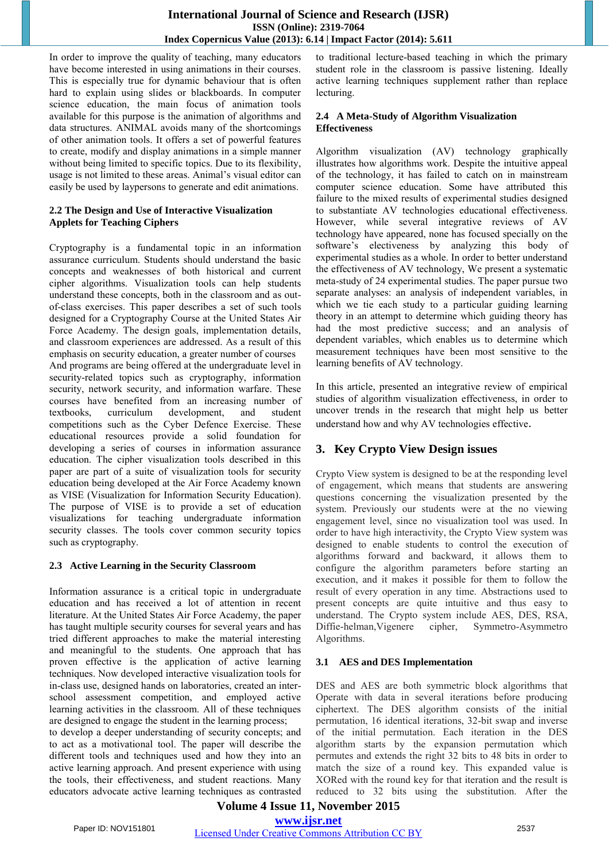In order to improve the quality of teaching, many educators have become interested in using animations in their courses. This is especially true for dynamic behaviour that is often hard to explain using slides or blackboards. In computer science education, the main focus of animation tools available for this purpose is the animation of algorithms and data structures. ANIMAL avoids many of the shortcomings of other animation tools. It offers a set of powerful features to create, modify and display animations in a simple manner without being limited to specific topics. Due to its flexibility, usage is not limited to these areas. Animal's visual editor can easily be used by laypersons to generate and edit animations.

#### **2.2 The Design and Use of Interactive Visualization Applets for Teaching Ciphers**

Cryptography is a fundamental topic in an information assurance curriculum. Students should understand the basic concepts and weaknesses of both historical and current cipher algorithms. Visualization tools can help students understand these concepts, both in the classroom and as outof-class exercises. This paper describes a set of such tools designed for a Cryptography Course at the United States Air Force Academy. The design goals, implementation details, and classroom experiences are addressed. As a result of this emphasis on security education, a greater number of courses And programs are being offered at the undergraduate level in security-related topics such as cryptography, information security, network security, and information warfare. These courses have benefited from an increasing number of textbooks, curriculum development, and student competitions such as the Cyber Defence Exercise. These educational resources provide a solid foundation for developing a series of courses in information assurance education. The cipher visualization tools described in this paper are part of a suite of visualization tools for security education being developed at the Air Force Academy known as VISE (Visualization for Information Security Education). The purpose of VISE is to provide a set of education visualizations for teaching undergraduate information security classes. The tools cover common security topics such as cryptography.

#### **2.3 Active Learning in the Security Classroom**

Information assurance is a critical topic in undergraduate education and has received a lot of attention in recent literature. At the United States Air Force Academy, the paper has taught multiple security courses for several years and has tried different approaches to make the material interesting and meaningful to the students. One approach that has proven effective is the application of active learning techniques. Now developed interactive visualization tools for in-class use, designed hands on laboratories, created an interschool assessment competition, and employed active learning activities in the classroom. All of these techniques are designed to engage the student in the learning process;

to develop a deeper understanding of security concepts; and to act as a motivational tool. The paper will describe the different tools and techniques used and how they into an active learning approach. And present experience with using the tools, their effectiveness, and student reactions. Many educators advocate active learning techniques as contrasted

to traditional lecture-based teaching in which the primary student role in the classroom is passive listening. Ideally active learning techniques supplement rather than replace lecturing.

#### **2.4 A Meta-Study of Algorithm Visualization Effectiveness**

Algorithm visualization (AV) technology graphically illustrates how algorithms work. Despite the intuitive appeal of the technology, it has failed to catch on in mainstream computer science education. Some have attributed this failure to the mixed results of experimental studies designed to substantiate AV technologies educational effectiveness. However, while several integrative reviews of AV technology have appeared, none has focused specially on the software's electiveness by analyzing this body of experimental studies as a whole. In order to better understand the effectiveness of AV technology, We present a systematic meta-study of 24 experimental studies. The paper pursue two separate analyses: an analysis of independent variables, in which we tie each study to a particular guiding learning theory in an attempt to determine which guiding theory has had the most predictive success; and an analysis of dependent variables, which enables us to determine which measurement techniques have been most sensitive to the learning benefits of AV technology.

In this article, presented an integrative review of empirical studies of algorithm visualization effectiveness, in order to uncover trends in the research that might help us better understand how and why AV technologies effective.

# **3. Key Crypto View Design issues**

Crypto View system is designed to be at the responding level of engagement, which means that students are answering questions concerning the visualization presented by the system. Previously our students were at the no viewing engagement level, since no visualization tool was used. In order to have high interactivity, the Crypto View system was designed to enable students to control the execution of algorithms forward and backward, it allows them to configure the algorithm parameters before starting an execution, and it makes it possible for them to follow the result of every operation in any time. Abstractions used to present concepts are quite intuitive and thus easy to understand. The Crypto system include AES, DES, RSA, Diffie-helman,Vigenere cipher, Symmetro-Asymmetro Algorithms.

#### **3.1 AES and DES Implementation**

DES and AES are both symmetric block algorithms that Operate with data in several iterations before producing ciphertext. The DES algorithm consists of the initial permutation, 16 identical iterations, 32-bit swap and inverse of the initial permutation. Each iteration in the DES algorithm starts by the expansion permutation which permutes and extends the right 32 bits to 48 bits in order to match the size of a round key. This expanded value is XORed with the round key for that iteration and the result is reduced to 32 bits using the substitution. After the

# **Volume 4 Issue 11, November 2015 www.ijsr.net**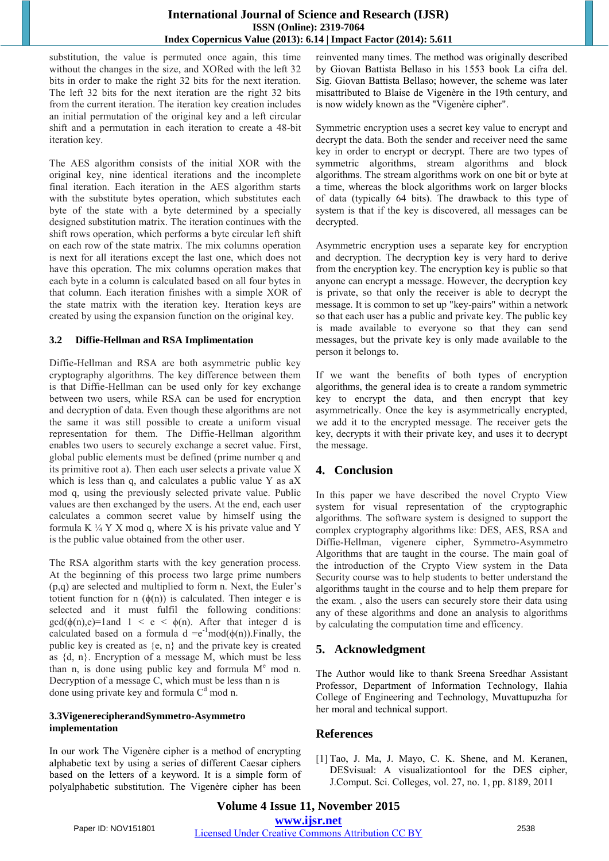#### **International Journal of Science and Research (IJSR) ISSN (Online): 2319-7064 Index Copernicus Value (2013): 6.14 | Impact Factor (2014): 5.611**

substitution, the value is permuted once again, this time without the changes in the size, and XORed with the left 32 bits in order to make the right 32 bits for the next iteration. The left 32 bits for the next iteration are the right 32 bits from the current iteration. The iteration key creation includes an initial permutation of the original key and a left circular shift and a permutation in each iteration to create a 48-bit iteration key.

The AES algorithm consists of the initial XOR with the original key, nine identical iterations and the incomplete final iteration. Each iteration in the AES algorithm starts with the substitute bytes operation, which substitutes each byte of the state with a byte determined by a specially designed substitution matrix. The iteration continues with the shift rows operation, which performs a byte circular left shift on each row of the state matrix. The mix columns operation is next for all iterations except the last one, which does not have this operation. The mix columns operation makes that each byte in a column is calculated based on all four bytes in that column. Each iteration finishes with a simple XOR of the state matrix with the iteration key. Iteration keys are created by using the expansion function on the original key.

#### **3.2 Diffie-Hellman and RSA Implimentation**

Diffie-Hellman and RSA are both asymmetric public key cryptography algorithms. The key difference between them is that Diffie-Hellman can be used only for key exchange between two users, while RSA can be used for encryption and decryption of data. Even though these algorithms are not the same it was still possible to create a uniform visual representation for them. The Diffie-Hellman algorithm enables two users to securely exchange a secret value. First, global public elements must be defined (prime number q and its primitive root a). Then each user selects a private value X which is less than q, and calculates a public value Y as aX mod q, using the previously selected private value. Public values are then exchanged by the users. At the end, each user calculates a common secret value by himself using the formula K  $\frac{1}{4}$  Y X mod q, where X is his private value and Y is the public value obtained from the other user.

The RSA algorithm starts with the key generation process. At the beginning of this process two large prime numbers (p,q) are selected and multiplied to form n. Next, the Euler's totient function for n  $(\phi(n))$  is calculated. Then integer e is selected and it must fulfil the following conditions:  $gcd(\phi(n), e)=1$ and  $1 \le e \le \phi(n)$ . After that integer d is calculated based on a formula d = $e^{-1}$ mod( $\phi(n)$ ). Finally, the public key is created as  $\{e, n\}$  and the private key is created as  $\{d, n\}$ . Encryption of a message M, which must be less than n, is done using public key and formula  $M<sup>e</sup>$  mod n. Decryption of a message C, which must be less than n is done using private key and formula  $C<sup>d</sup>$  mod n.

#### **3.3VigenerecipherandSymmetro-Asymmetro implementation**

In our work The Vigenère cipher is a method of encrypting alphabetic text by using a series of different Caesar ciphers based on the letters of a keyword. It is a simple form of polyalphabetic substitution. The Vigenère cipher has been reinvented many times. The method was originally described by Giovan Battista Bellaso in his 1553 book La cifra del. Sig. Giovan Battista Bellaso; however, the scheme was later misattributed to Blaise de Vigenère in the 19th century, and is now widely known as the "Vigenère cipher".

Symmetric encryption uses a secret key value to encrypt and decrypt the data. Both the sender and receiver need the same key in order to encrypt or decrypt. There are two types of symmetric algorithms, stream algorithms and block algorithms. The stream algorithms work on one bit or byte at a time, whereas the block algorithms work on larger blocks of data (typically 64 bits). The drawback to this type of system is that if the key is discovered, all messages can be decrypted.

Asymmetric encryption uses a separate key for encryption and decryption. The decryption key is very hard to derive from the encryption key. The encryption key is public so that anyone can encrypt a message. However, the decryption key is private, so that only the receiver is able to decrypt the message. It is common to set up "key-pairs" within a network so that each user has a public and private key. The public key is made available to everyone so that they can send messages, but the private key is only made available to the person it belongs to.

If we want the benefits of both types of encryption algorithms, the general idea is to create a random symmetric key to encrypt the data, and then encrypt that key asymmetrically. Once the key is asymmetrically encrypted, we add it to the encrypted message. The receiver gets the key, decrypts it with their private key, and uses it to decrypt the message.

# **4. Conclusion**

In this paper we have described the novel Crypto View system for visual representation of the cryptographic algorithms. The software system is designed to support the complex cryptography algorithms like: DES, AES, RSA and Diffie-Hellman, vigenere cipher, Symmetro-Asymmetro Algorithms that are taught in the course. The main goal of the introduction of the Crypto View system in the Data Security course was to help students to better understand the algorithms taught in the course and to help them prepare for the exam. , also the users can securely store their data using any of these algorithms and done an analysis to algorithms by calculating the computation time and efficency.

# **5. Acknowledgment**

The Author would like to thank Sreena Sreedhar Assistant Professor, Department of Information Technology, Ilahia College of Engineering and Technology, Muvattupuzha for her moral and technical support.

# **References**

[1] Tao, J. Ma, J. Mayo, C. K. Shene, and M. Keranen, DESvisual: A visualizationtool for the DES cipher, J.Comput. Sci. Colleges, vol. 27, no. 1, pp. 8189, 2011